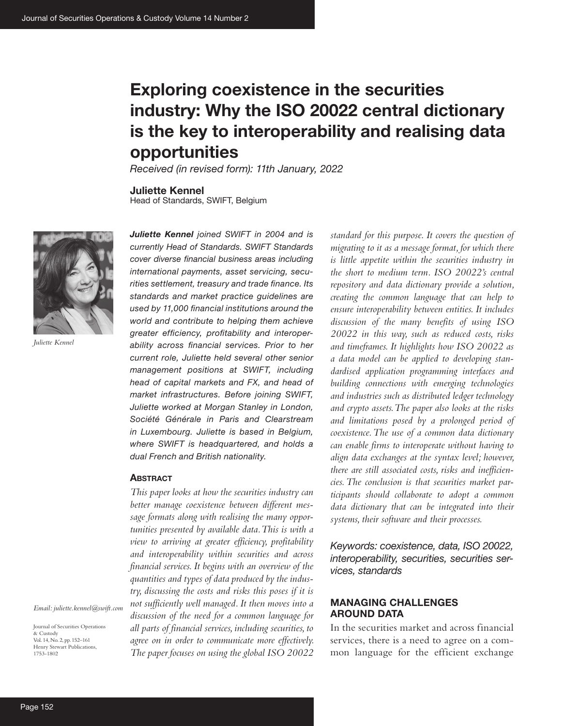# **Exploring coexistence in the securities industry: Why the ISO 20022 central dictionary is the key to interoperability and realising data opportunities**

*Received (in revised form): 11th January, 2022*

**Juliette Kennel**

Head of Standards, SWIFT, Belgium



*Juliette Kennel*

*Juliette Kennel joined SWIFT in 2004 and is currently Head of Standards. SWIFT Standards cover diverse financial business areas including international payments, asset servicing, securities settlement, treasury and trade finance. Its standards and market practice guidelines are used by 11,000 financial institutions around the world and contribute to helping them achieve greater efficiency, profitability and interoperability across financial services. Prior to her current role, Juliette held several other senior management positions at SWIFT, including head of capital markets and FX, and head of market infrastructures. Before joining SWIFT, Juliette worked at Morgan Stanley in London, Société Générale in Paris and Clearstream in Luxembourg. Juliette is based in Belgium, where SWIFT is headquartered, and holds a dual French and British nationality.*

#### **Abstract**

*This paper looks at how the securities industry can better manage coexistence between different message formats along with realising the many opportunities presented by available data. This is with a view to arriving at greater efficiency, profitability and interoperability within securities and across financial services. It begins with an overview of the quantities and types of data produced by the industry, discussing the costs and risks this poses if it is not sufficiently well managed. It then moves into a discussion of the need for a common language for all parts of financial services, including securities, to agree on in order to communicate more effectively. The paper focuses on using the global ISO 20022* 

*standard for this purpose. It covers the question of migrating to it as a message format, for which there is little appetite within the securities industry in the short to medium term. ISO 20022's central repository and data dictionary provide a solution, creating the common language that can help to ensure interoperability between entities. It includes discussion of the many benefits of using ISO 20022 in this way, such as reduced costs, risks and timeframes. It highlights how ISO 20022 as a data model can be applied to developing standardised application programming interfaces and building connections with emerging technologies and industries such as distributed ledger technology and crypto assets. The paper also looks at the risks and limitations posed by a prolonged period of coexistence. The use of a common data dictionary can enable firms to interoperate without having to align data exchanges at the syntax level; however, there are still associated costs, risks and inefficiencies. The conclusion is that securities market participants should collaborate to adopt a common data dictionary that can be integrated into their systems, their software and their processes.*

*Keywords: coexistence, data, ISO 20022, interoperability, securities, securities services, standards*

## **MANAGING CHALLENGES AROUND DATA**

In the securities market and across financial services, there is a need to agree on a common language for the efficient exchange

& Custody Vol. 14, No. 2, pp. 152–161 Henry Stewart Publications,

1753-1802

Journal of Securities Operations

*Email: juliette.kennel@swift.com*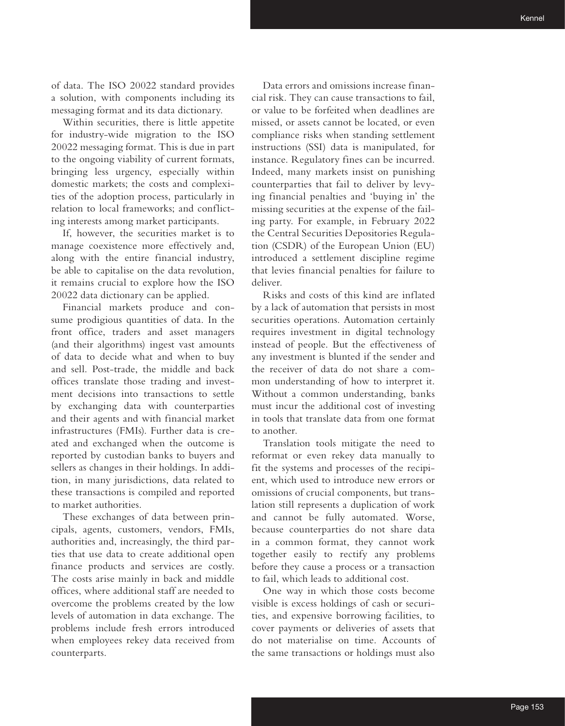of data. The ISO 20022 standard provides a solution, with components including its messaging format and its data dictionary.

Within securities, there is little appetite for industry-wide migration to the ISO 20022 messaging format. This is due in part to the ongoing viability of current formats, bringing less urgency, especially within domestic markets; the costs and complexities of the adoption process, particularly in relation to local frameworks; and conflicting interests among market participants.

If, however, the securities market is to manage coexistence more effectively and, along with the entire financial industry, be able to capitalise on the data revolution, it remains crucial to explore how the ISO 20022 data dictionary can be applied.

Financial markets produce and consume prodigious quantities of data. In the front office, traders and asset managers (and their algorithms) ingest vast amounts of data to decide what and when to buy and sell. Post-trade, the middle and back offices translate those trading and investment decisions into transactions to settle by exchanging data with counterparties and their agents and with financial market infrastructures (FMIs). Further data is created and exchanged when the outcome is reported by custodian banks to buyers and sellers as changes in their holdings. In addition, in many jurisdictions, data related to these transactions is compiled and reported to market authorities.

These exchanges of data between principals, agents, customers, vendors, FMIs, authorities and, increasingly, the third parties that use data to create additional open finance products and services are costly. The costs arise mainly in back and middle offices, where additional staff are needed to overcome the problems created by the low levels of automation in data exchange. The problems include fresh errors introduced when employees rekey data received from counterparts.

Data errors and omissions increase financial risk. They can cause transactions to fail, or value to be forfeited when deadlines are missed, or assets cannot be located, or even compliance risks when standing settlement instructions (SSI) data is manipulated, for instance. Regulatory fines can be incurred. Indeed, many markets insist on punishing counterparties that fail to deliver by levying financial penalties and 'buying in' the missing securities at the expense of the failing party. For example, in February 2022 the Central Securities Depositories Regulation (CSDR) of the European Union (EU) introduced a settlement discipline regime that levies financial penalties for failure to deliver.

Risks and costs of this kind are inflated by a lack of automation that persists in most securities operations. Automation certainly requires investment in digital technology instead of people. But the effectiveness of any investment is blunted if the sender and the receiver of data do not share a common understanding of how to interpret it. Without a common understanding, banks must incur the additional cost of investing in tools that translate data from one format to another.

Translation tools mitigate the need to reformat or even rekey data manually to fit the systems and processes of the recipient, which used to introduce new errors or omissions of crucial components, but translation still represents a duplication of work and cannot be fully automated. Worse, because counterparties do not share data in a common format, they cannot work together easily to rectify any problems before they cause a process or a transaction to fail, which leads to additional cost.

One way in which those costs become visible is excess holdings of cash or securities, and expensive borrowing facilities, to cover payments or deliveries of assets that do not materialise on time. Accounts of the same transactions or holdings must also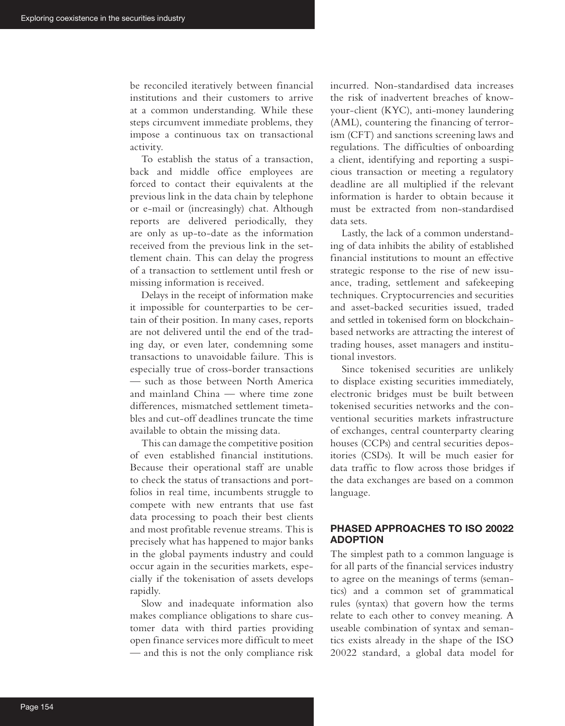be reconciled iteratively between financial institutions and their customers to arrive at a common understanding. While these steps circumvent immediate problems, they impose a continuous tax on transactional activity.

To establish the status of a transaction, back and middle office employees are forced to contact their equivalents at the previous link in the data chain by telephone or e-mail or (increasingly) chat. Although reports are delivered periodically, they are only as up-to-date as the information received from the previous link in the settlement chain. This can delay the progress of a transaction to settlement until fresh or missing information is received.

Delays in the receipt of information make it impossible for counterparties to be certain of their position. In many cases, reports are not delivered until the end of the trading day, or even later, condemning some transactions to unavoidable failure. This is especially true of cross-border transactions — such as those between North America and mainland China — where time zone differences, mismatched settlement timetables and cut-off deadlines truncate the time available to obtain the missing data.

This can damage the competitive position of even established financial institutions. Because their operational staff are unable to check the status of transactions and portfolios in real time, incumbents struggle to compete with new entrants that use fast data processing to poach their best clients and most profitable revenue streams. This is precisely what has happened to major banks in the global payments industry and could occur again in the securities markets, especially if the tokenisation of assets develops rapidly.

Slow and inadequate information also makes compliance obligations to share customer data with third parties providing open finance services more difficult to meet — and this is not the only compliance risk

incurred. Non-standardised data increases the risk of inadvertent breaches of knowyour-client (KYC), anti-money laundering (AML), countering the financing of terrorism (CFT) and sanctions screening laws and regulations. The difficulties of onboarding a client, identifying and reporting a suspicious transaction or meeting a regulatory deadline are all multiplied if the relevant information is harder to obtain because it must be extracted from non-standardised data sets.

Lastly, the lack of a common understanding of data inhibits the ability of established financial institutions to mount an effective strategic response to the rise of new issuance, trading, settlement and safekeeping techniques. Cryptocurrencies and securities and asset-backed securities issued, traded and settled in tokenised form on blockchainbased networks are attracting the interest of trading houses, asset managers and institutional investors.

Since tokenised securities are unlikely to displace existing securities immediately, electronic bridges must be built between tokenised securities networks and the conventional securities markets infrastructure of exchanges, central counterparty clearing houses (CCPs) and central securities depositories (CSDs). It will be much easier for data traffic to flow across those bridges if the data exchanges are based on a common language.

# **PHASED APPROACHES TO ISO 20022 ADOPTION**

The simplest path to a common language is for all parts of the financial services industry to agree on the meanings of terms (semantics) and a common set of grammatical rules (syntax) that govern how the terms relate to each other to convey meaning. A useable combination of syntax and semantics exists already in the shape of the ISO 20022 standard, a global data model for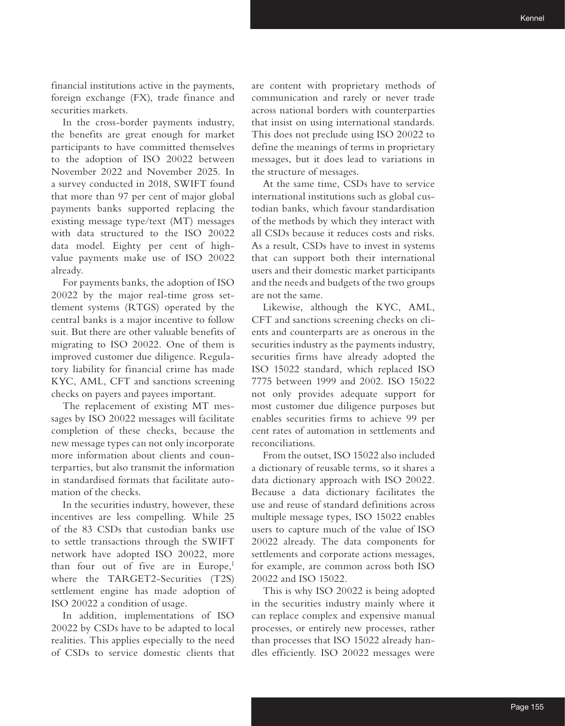financial institutions active in the payments, foreign exchange (FX), trade finance and securities markets.

In the cross-border payments industry, the benefits are great enough for market participants to have committed themselves to the adoption of ISO 20022 between November 2022 and November 2025. In a survey conducted in 2018, SWIFT found that more than 97 per cent of major global payments banks supported replacing the existing message type/text (MT) messages with data structured to the ISO 20022 data model. Eighty per cent of highvalue payments make use of ISO 20022 already.

For payments banks, the adoption of ISO 20022 by the major real-time gross settlement systems (RTGS) operated by the central banks is a major incentive to follow suit. But there are other valuable benefits of migrating to ISO 20022. One of them is improved customer due diligence. Regulatory liability for financial crime has made KYC, AML, CFT and sanctions screening checks on payers and payees important.

The replacement of existing MT messages by ISO 20022 messages will facilitate completion of these checks, because the new message types can not only incorporate more information about clients and counterparties, but also transmit the information in standardised formats that facilitate automation of the checks.

In the securities industry, however, these incentives are less compelling. While 25 of the 83 CSDs that custodian banks use to settle transactions through the SWIFT network have adopted ISO 20022, more than four out of five are in Europe, $<sup>1</sup>$ </sup> where the TARGET2-Securities (T2S) settlement engine has made adoption of ISO 20022 a condition of usage.

In addition, implementations of ISO 20022 by CSDs have to be adapted to local realities. This applies especially to the need of CSDs to service domestic clients that

are content with proprietary methods of communication and rarely or never trade across national borders with counterparties that insist on using international standards. This does not preclude using ISO 20022 to define the meanings of terms in proprietary messages, but it does lead to variations in the structure of messages.

At the same time, CSDs have to service international institutions such as global custodian banks, which favour standardisation of the methods by which they interact with all CSDs because it reduces costs and risks. As a result, CSDs have to invest in systems that can support both their international users and their domestic market participants and the needs and budgets of the two groups are not the same.

Likewise, although the KYC, AML, CFT and sanctions screening checks on clients and counterparts are as onerous in the securities industry as the payments industry, securities firms have already adopted the ISO 15022 standard, which replaced ISO 7775 between 1999 and 2002. ISO 15022 not only provides adequate support for most customer due diligence purposes but enables securities firms to achieve 99 per cent rates of automation in settlements and reconciliations.

From the outset, ISO 15022 also included a dictionary of reusable terms, so it shares a data dictionary approach with ISO 20022. Because a data dictionary facilitates the use and reuse of standard definitions across multiple message types, ISO 15022 enables users to capture much of the value of ISO 20022 already. The data components for settlements and corporate actions messages, for example, are common across both ISO 20022 and ISO 15022.

This is why ISO 20022 is being adopted in the securities industry mainly where it can replace complex and expensive manual processes, or entirely new processes, rather than processes that ISO 15022 already handles efficiently. ISO 20022 messages were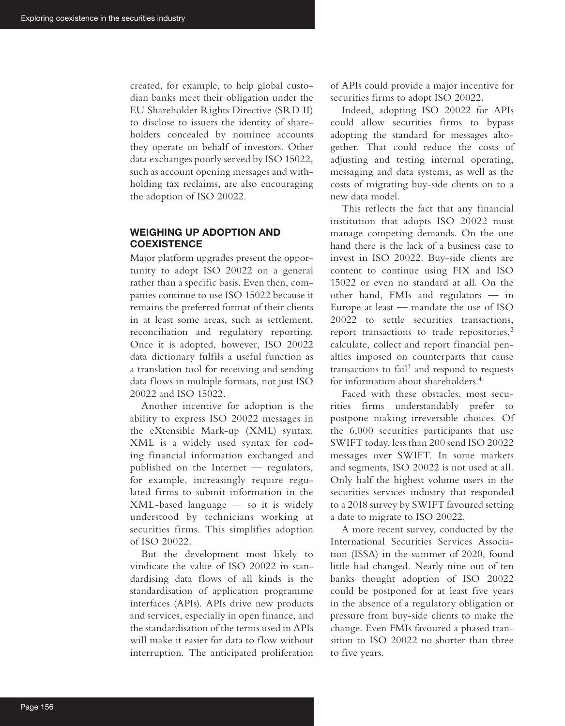created, for example, to help global custodian banks meet their obligation under the EU Shareholder Rights Directive (SRD II) to disclose to issuers the identity of shareholders concealed by nominee accounts they operate on behalf of investors. Other data exchanges poorly served by ISO 15022, such as account opening messages and withholding tax reclaims, are also encouraging the adoption of ISO 20022.

# **WEIGHING UP ADOPTION AND COEXISTENCE**

Major platform upgrades present the opportunity to adopt ISO 20022 on a general rather than a specific basis. Even then, companies continue to use ISO 15022 because it remains the preferred format of their clients in at least some areas, such as settlement, reconciliation and regulatory reporting. Once it is adopted, however, ISO 20022 data dictionary fulfils a useful function as a translation tool for receiving and sending data flows in multiple formats, not just ISO 20022 and ISO 15022.

Another incentive for adoption is the ability to express ISO 20022 messages in the eXtensible Mark-up (XML) syntax. XML is a widely used syntax for coding financial information exchanged and published on the Internet — regulators, for example, increasingly require regulated firms to submit information in the XML-based language — so it is widely understood by technicians working at securities firms. This simplifies adoption of ISO 20022.

But the development most likely to vindicate the value of ISO 20022 in standardising data flows of all kinds is the standardisation of application programme interfaces (APIs). APIs drive new products and services, especially in open finance, and the standardisation of the terms used in APIs will make it easier for data to flow without interruption. The anticipated proliferation of APIs could provide a major incentive for securities firms to adopt ISO 20022.

Indeed, adopting ISO 20022 for APIs could allow securities firms to bypass adopting the standard for messages altogether. That could reduce the costs of adjusting and testing internal operating, messaging and data systems, as well as the costs of migrating buy-side clients on to a new data model.

This reflects the fact that any financial institution that adopts ISO 20022 must manage competing demands. On the one hand there is the lack of a business case to invest in ISO 20022. Buy-side clients are content to continue using FIX and ISO 15022 or even no standard at all. On the other hand, FMIs and regulators — in Europe at least — mandate the use of ISO 20022 to settle securities transactions, report transactions to trade repositories, $<sup>2</sup>$ </sup> calculate, collect and report financial penalties imposed on counterparts that cause transactions to fail<sup>3</sup> and respond to requests for information about shareholders.4

Faced with these obstacles, most securities firms understandably prefer to postpone making irreversible choices. Of the 6,000 securities participants that use SWIFT today, less than 200 send ISO 20022 messages over SWIFT. In some markets and segments, ISO 20022 is not used at all. Only half the highest volume users in the securities services industry that responded to a 2018 survey by SWIFT favoured setting a date to migrate to ISO 20022.

A more recent survey, conducted by the International Securities Services Association (ISSA) in the summer of 2020, found little had changed. Nearly nine out of ten banks thought adoption of ISO 20022 could be postponed for at least five years in the absence of a regulatory obligation or pressure from buy-side clients to make the change. Even FMIs favoured a phased transition to ISO 20022 no shorter than three to five years.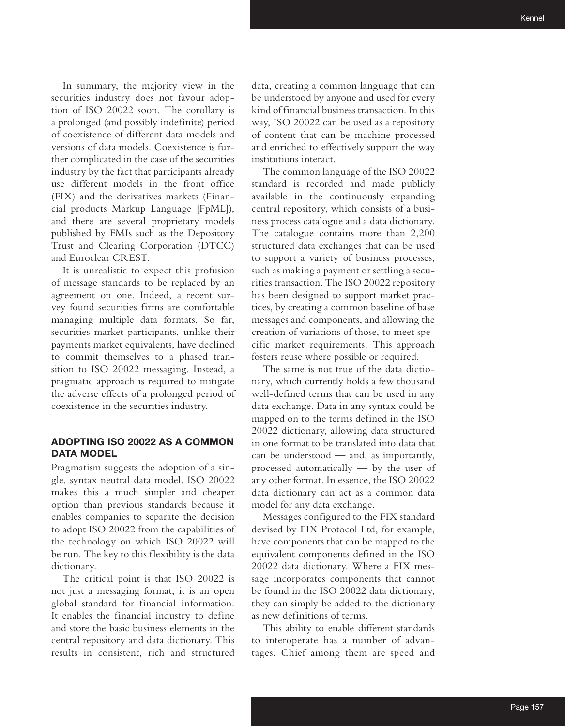In summary, the majority view in the securities industry does not favour adoption of ISO 20022 soon. The corollary is a prolonged (and possibly indefinite) period of coexistence of different data models and versions of data models. Coexistence is further complicated in the case of the securities industry by the fact that participants already use different models in the front office (FIX) and the derivatives markets (Financial products Markup Language [FpML]), and there are several proprietary models published by FMIs such as the Depository Trust and Clearing Corporation (DTCC) and Euroclear CREST.

It is unrealistic to expect this profusion of message standards to be replaced by an agreement on one. Indeed, a recent survey found securities firms are comfortable managing multiple data formats. So far, securities market participants, unlike their payments market equivalents, have declined to commit themselves to a phased transition to ISO 20022 messaging. Instead, a pragmatic approach is required to mitigate the adverse effects of a prolonged period of coexistence in the securities industry.

## **ADOPTING ISO 20022 AS A COMMON DATA MODEL**

Pragmatism suggests the adoption of a single, syntax neutral data model. ISO 20022 makes this a much simpler and cheaper option than previous standards because it enables companies to separate the decision to adopt ISO 20022 from the capabilities of the technology on which ISO 20022 will be run. The key to this flexibility is the data dictionary.

The critical point is that ISO 20022 is not just a messaging format, it is an open global standard for financial information. It enables the financial industry to define and store the basic business elements in the central repository and data dictionary. This results in consistent, rich and structured

data, creating a common language that can be understood by anyone and used for every kind of financial business transaction. In this way, ISO 20022 can be used as a repository of content that can be machine-processed and enriched to effectively support the way institutions interact.

The common language of the ISO 20022 standard is recorded and made publicly available in the continuously expanding central repository, which consists of a business process catalogue and a data dictionary. The catalogue contains more than 2,200 structured data exchanges that can be used to support a variety of business processes, such as making a payment or settling a securities transaction. The ISO 20022 repository has been designed to support market practices, by creating a common baseline of base messages and components, and allowing the creation of variations of those, to meet specific market requirements. This approach fosters reuse where possible or required.

The same is not true of the data dictionary, which currently holds a few thousand well-defined terms that can be used in any data exchange. Data in any syntax could be mapped on to the terms defined in the ISO 20022 dictionary, allowing data structured in one format to be translated into data that can be understood — and, as importantly, processed automatically — by the user of any other format. In essence, the ISO 20022 data dictionary can act as a common data model for any data exchange.

Messages configured to the FIX standard devised by FIX Protocol Ltd, for example, have components that can be mapped to the equivalent components defined in the ISO 20022 data dictionary. Where a FIX message incorporates components that cannot be found in the ISO 20022 data dictionary, they can simply be added to the dictionary as new definitions of terms.

This ability to enable different standards to interoperate has a number of advantages. Chief among them are speed and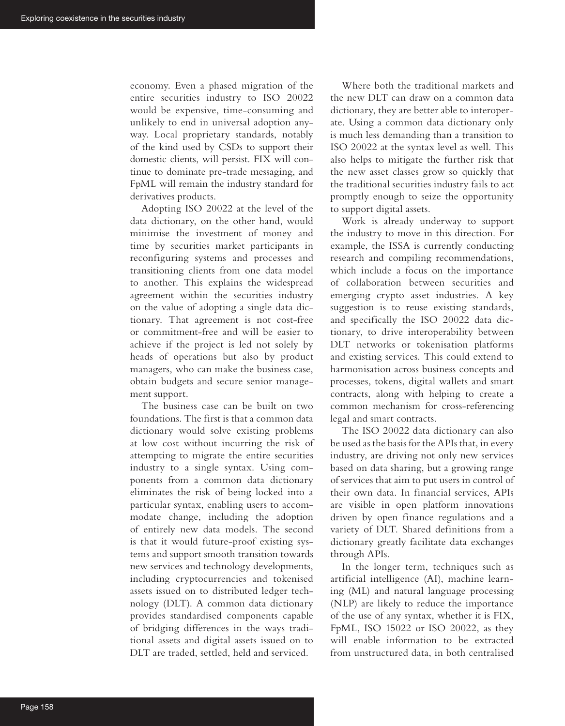economy. Even a phased migration of the entire securities industry to ISO 20022 would be expensive, time-consuming and unlikely to end in universal adoption anyway. Local proprietary standards, notably of the kind used by CSDs to support their domestic clients, will persist. FIX will continue to dominate pre-trade messaging, and FpML will remain the industry standard for derivatives products.

Adopting ISO 20022 at the level of the data dictionary, on the other hand, would minimise the investment of money and time by securities market participants in reconfiguring systems and processes and transitioning clients from one data model to another. This explains the widespread agreement within the securities industry on the value of adopting a single data dictionary. That agreement is not cost-free or commitment-free and will be easier to achieve if the project is led not solely by heads of operations but also by product managers, who can make the business case, obtain budgets and secure senior management support.

The business case can be built on two foundations. The first is that a common data dictionary would solve existing problems at low cost without incurring the risk of attempting to migrate the entire securities industry to a single syntax. Using components from a common data dictionary eliminates the risk of being locked into a particular syntax, enabling users to accommodate change, including the adoption of entirely new data models. The second is that it would future-proof existing systems and support smooth transition towards new services and technology developments, including cryptocurrencies and tokenised assets issued on to distributed ledger technology (DLT). A common data dictionary provides standardised components capable of bridging differences in the ways traditional assets and digital assets issued on to DLT are traded, settled, held and serviced.

Where both the traditional markets and the new DLT can draw on a common data dictionary, they are better able to interoperate. Using a common data dictionary only is much less demanding than a transition to ISO 20022 at the syntax level as well. This also helps to mitigate the further risk that the new asset classes grow so quickly that the traditional securities industry fails to act promptly enough to seize the opportunity to support digital assets.

Work is already underway to support the industry to move in this direction. For example, the ISSA is currently conducting research and compiling recommendations, which include a focus on the importance of collaboration between securities and emerging crypto asset industries. A key suggestion is to reuse existing standards, and specifically the ISO 20022 data dictionary, to drive interoperability between DLT networks or tokenisation platforms and existing services. This could extend to harmonisation across business concepts and processes, tokens, digital wallets and smart contracts, along with helping to create a common mechanism for cross-referencing legal and smart contracts.

The ISO 20022 data dictionary can also be used as the basis for the APIs that, in every industry, are driving not only new services based on data sharing, but a growing range of services that aim to put users in control of their own data. In financial services, APIs are visible in open platform innovations driven by open finance regulations and a variety of DLT. Shared definitions from a dictionary greatly facilitate data exchanges through APIs.

In the longer term, techniques such as artificial intelligence (AI), machine learning (ML) and natural language processing (NLP) are likely to reduce the importance of the use of any syntax, whether it is FIX, FpML, ISO 15022 or ISO 20022, as they will enable information to be extracted from unstructured data, in both centralised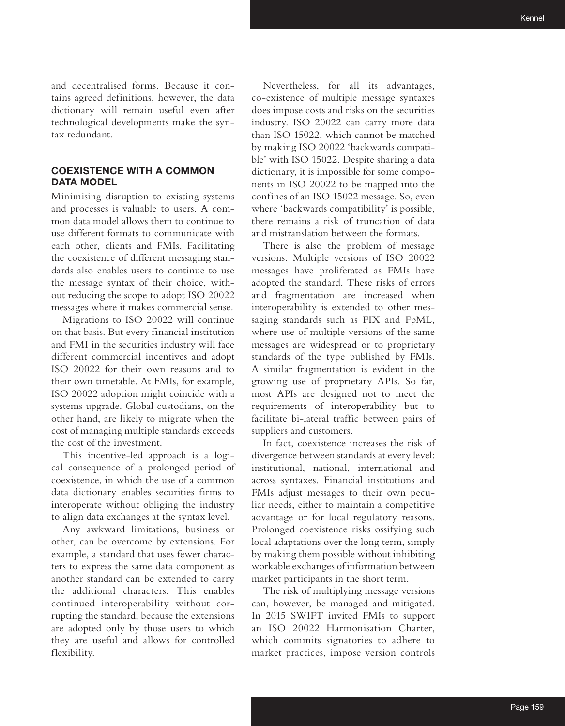and decentralised forms. Because it contains agreed definitions, however, the data dictionary will remain useful even after technological developments make the syntax redundant.

# **COEXISTENCE WITH A COMMON DATA MODEL**

Minimising disruption to existing systems and processes is valuable to users. A common data model allows them to continue to use different formats to communicate with each other, clients and FMIs. Facilitating the coexistence of different messaging standards also enables users to continue to use the message syntax of their choice, without reducing the scope to adopt ISO 20022 messages where it makes commercial sense.

Migrations to ISO 20022 will continue on that basis. But every financial institution and FMI in the securities industry will face different commercial incentives and adopt ISO 20022 for their own reasons and to their own timetable. At FMIs, for example, ISO 20022 adoption might coincide with a systems upgrade. Global custodians, on the other hand, are likely to migrate when the cost of managing multiple standards exceeds the cost of the investment.

This incentive-led approach is a logical consequence of a prolonged period of coexistence, in which the use of a common data dictionary enables securities firms to interoperate without obliging the industry to align data exchanges at the syntax level.

Any awkward limitations, business or other, can be overcome by extensions. For example, a standard that uses fewer characters to express the same data component as another standard can be extended to carry the additional characters. This enables continued interoperability without corrupting the standard, because the extensions are adopted only by those users to which they are useful and allows for controlled flexibility.

Nevertheless, for all its advantages, co-existence of multiple message syntaxes does impose costs and risks on the securities industry. ISO 20022 can carry more data than ISO 15022, which cannot be matched by making ISO 20022 'backwards compatible' with ISO 15022. Despite sharing a data dictionary, it is impossible for some components in ISO 20022 to be mapped into the confines of an ISO 15022 message. So, even where 'backwards compatibility' is possible, there remains a risk of truncation of data and mistranslation between the formats.

There is also the problem of message versions. Multiple versions of ISO 20022 messages have proliferated as FMIs have adopted the standard. These risks of errors and fragmentation are increased when interoperability is extended to other messaging standards such as FIX and FpML, where use of multiple versions of the same messages are widespread or to proprietary standards of the type published by FMIs. A similar fragmentation is evident in the growing use of proprietary APIs. So far, most APIs are designed not to meet the requirements of interoperability but to facilitate bi-lateral traffic between pairs of suppliers and customers.

In fact, coexistence increases the risk of divergence between standards at every level: institutional, national, international and across syntaxes. Financial institutions and FMIs adjust messages to their own peculiar needs, either to maintain a competitive advantage or for local regulatory reasons. Prolonged coexistence risks ossifying such local adaptations over the long term, simply by making them possible without inhibiting workable exchanges of information between market participants in the short term.

The risk of multiplying message versions can, however, be managed and mitigated. In 2015 SWIFT invited FMIs to support an ISO 20022 Harmonisation Charter, which commits signatories to adhere to market practices, impose version controls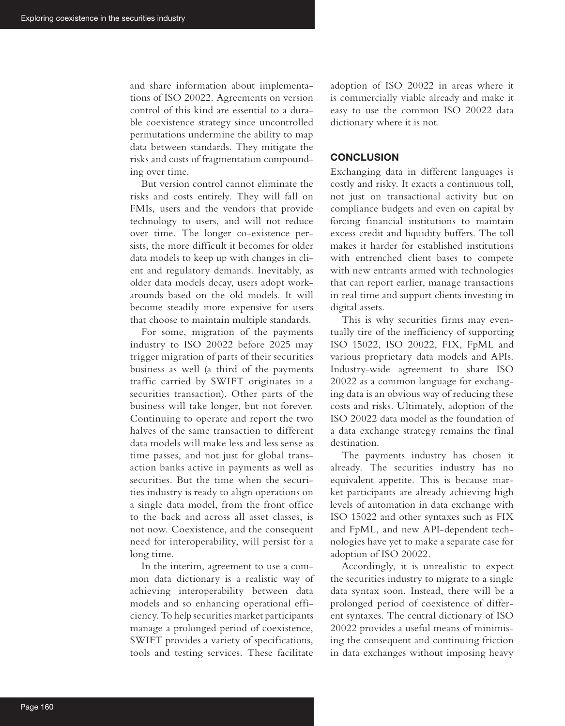and share information about implementations of ISO 20022. Agreements on version control of this kind are essential to a durable coexistence strategy since uncontrolled permutations undermine the ability to map data between standards. They mitigate the risks and costs of fragmentation compounding over time.

But version control cannot eliminate the risks and costs entirely. They will fall on FMIs, users and the vendors that provide technology to users, and will not reduce over time. The longer co-existence persists, the more difficult it becomes for older data models to keep up with changes in client and regulatory demands. Inevitably, as older data models decay, users adopt workarounds based on the old models. It will become steadily more expensive for users that choose to maintain multiple standards.

For some, migration of the payments industry to ISO 20022 before 2025 may trigger migration of parts of their securities business as well (a third of the payments traffic carried by SWIFT originates in a securities transaction). Other parts of the business will take longer, but not forever. Continuing to operate and report the two halves of the same transaction to different data models will make less and less sense as time passes, and not just for global transaction banks active in payments as well as securities. But the time when the securities industry is ready to align operations on a single data model, from the front office to the back and across all asset classes, is not now. Coexistence, and the consequent need for interoperability, will persist for a long time.

In the interim, agreement to use a common data dictionary is a realistic way of achieving interoperability between data models and so enhancing operational efficiency. To help securities market participants manage a prolonged period of coexistence, SWIFT provides a variety of specifications, tools and testing services. These facilitate

adoption of ISO 20022 in areas where it is commercially viable already and make it easy to use the common ISO 20022 data dictionary where it is not.

#### **CONCLUSION**

Exchanging data in different languages is costly and risky. It exacts a continuous toll, not just on transactional activity but on compliance budgets and even on capital by forcing financial institutions to maintain excess credit and liquidity buffers. The toll makes it harder for established institutions with entrenched client bases to compete with new entrants armed with technologies that can report earlier, manage transactions in real time and support clients investing in digital assets.

This is why securities firms may eventually tire of the inefficiency of supporting ISO 15022, ISO 20022, FIX, FpML and various proprietary data models and APIs. Industry-wide agreement to share ISO 20022 as a common language for exchanging data is an obvious way of reducing these costs and risks. Ultimately, adoption of the ISO 20022 data model as the foundation of a data exchange strategy remains the final destination.

The payments industry has chosen it already. The securities industry has no equivalent appetite. This is because market participants are already achieving high levels of automation in data exchange with ISO 15022 and other syntaxes such as FIX and FpML, and new API-dependent technologies have yet to make a separate case for adoption of ISO 20022.

Accordingly, it is unrealistic to expect the securities industry to migrate to a single data syntax soon. Instead, there will be a prolonged period of coexistence of different syntaxes. The central dictionary of ISO 20022 provides a useful means of minimising the consequent and continuing friction in data exchanges without imposing heavy